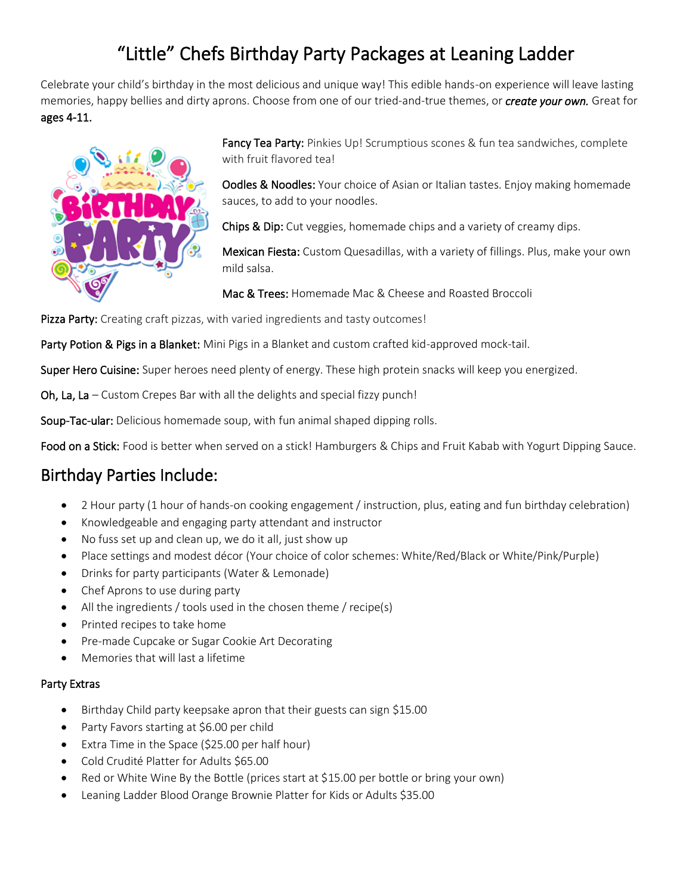## "Little" Chefs Birthday Party Packages at Leaning Ladder

Celebrate your child's birthday in the most delicious and unique way! This edible hands-on experience will leave lasting memories, happy bellies and dirty aprons. Choose from one of our tried-and-true themes, or *create your own.* Great for ages 4-11.



Fancy Tea Party: Pinkies Up! Scrumptious scones & fun tea sandwiches, complete with fruit flavored teal

**Oodles & Noodles:** Your choice of Asian or Italian tastes. Enjoy making homemade sauces, to add to your noodles.

Chips & Dip: Cut veggies, homemade chips and a variety of creamy dips.

Mexican Fiesta: Custom Quesadillas, with a variety of fillings. Plus, make your own mild salsa.

Mac & Trees: Homemade Mac & Cheese and Roasted Broccoli

Pizza Party: Creating craft pizzas, with varied ingredients and tasty outcomes!

Party Potion & Pigs in a Blanket: Mini Pigs in a Blanket and custom crafted kid-approved mock-tail.

Super Hero Cuisine: Super heroes need plenty of energy. These high protein snacks will keep you energized.

Oh, La, La – Custom Crepes Bar with all the delights and special fizzy punch!

Soup-Tac-ular: Delicious homemade soup, with fun animal shaped dipping rolls.

Food on a Stick: Food is better when served on a stick! Hamburgers & Chips and Fruit Kabab with Yogurt Dipping Sauce.

## Birthday Parties Include:

- 2 Hour party (1 hour of hands-on cooking engagement / instruction, plus, eating and fun birthday celebration)
- Knowledgeable and engaging party attendant and instructor
- No fuss set up and clean up, we do it all, just show up
- Place settings and modest décor (Your choice of color schemes: White/Red/Black or White/Pink/Purple)
- Drinks for party participants (Water & Lemonade)
- Chef Aprons to use during party
- All the ingredients / tools used in the chosen theme / recipe(s)
- Printed recipes to take home
- Pre-made Cupcake or Sugar Cookie Art Decorating
- Memories that will last a lifetime

## Party Extras

- Birthday Child party keepsake apron that their guests can sign \$15.00
- Party Favors starting at \$6.00 per child
- Extra Time in the Space (\$25.00 per half hour)
- Cold Crudité Platter for Adults \$65.00
- Red or White Wine By the Bottle (prices start at \$15.00 per bottle or bring your own)
- Leaning Ladder Blood Orange Brownie Platter for Kids or Adults \$35.00